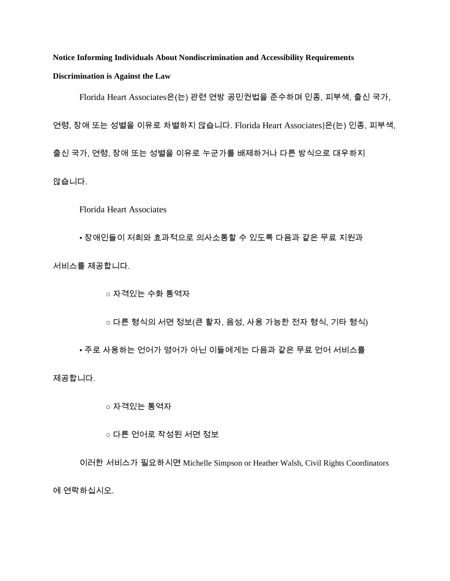**Notice Informing Individuals About Nondiscrimination and Accessibility Requirements Discrimination is Against the Law**

Florida Heart Associates은(는) 관련 연방 공민권법을 준수하며 인종, 피부색, 출신 국가,

연령, 장애 또는 성별을 이유로 차별하지 않습니다. Florida Heart Associates]은(는) 인종, 피부색,

출신 국가, 연령, 장애 또는 성별을 이유로 누군가를 배제하거나 다른 방식으로 대우하지

않습니다.

Florida Heart Associates

• 장애인들이 저희와 효과적으로 의사소통할 수 있도록 다음과 같은 무료 지원과

서비스를 제공합니다.

○ 자격있는 수화 통역자

○ 다른 형식의 서면 정보(큰 활자, 음성, 사용 가능한 전자 형식, 기타 형식)

• 주로 사용하는 언어가 영어가 아닌 이들에게는 다음과 같은 무료 언어 서비스를

제공합니다.

○ 자격있는 통역자

○ 다른 언어로 작성된 서면 정보

이러한 서비스가 필요하시면 Michelle Simpson or Heather Walsh, Civil Rights Coordinators 에 연락하십시오.